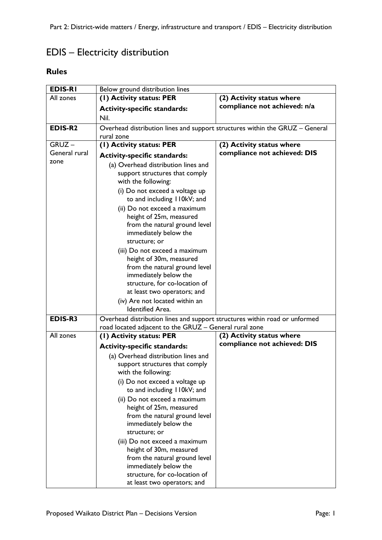## EDIS – Electricity distribution

## **Rules**

| <b>EDIS-RI</b> | Below ground distribution lines                                                                                                                                                    |                              |  |
|----------------|------------------------------------------------------------------------------------------------------------------------------------------------------------------------------------|------------------------------|--|
| All zones      | (1) Activity status: PER                                                                                                                                                           | (2) Activity status where    |  |
|                | <b>Activity-specific standards:</b>                                                                                                                                                | compliance not achieved: n/a |  |
|                | Nil.                                                                                                                                                                               |                              |  |
| EDIS-R2        | Overhead distribution lines and support structures within the GRUZ - General                                                                                                       |                              |  |
|                | rural zone                                                                                                                                                                         |                              |  |
| $GRUZ -$       | (I) Activity status: PER                                                                                                                                                           | (2) Activity status where    |  |
| General rural  | <b>Activity-specific standards:</b>                                                                                                                                                | compliance not achieved: DIS |  |
| zone           | (a) Overhead distribution lines and                                                                                                                                                |                              |  |
|                | support structures that comply<br>with the following:                                                                                                                              |                              |  |
|                | (i) Do not exceed a voltage up<br>to and including 110kV; and                                                                                                                      |                              |  |
|                | (ii) Do not exceed a maximum<br>height of 25m, measured<br>from the natural ground level<br>immediately below the<br>structure; or                                                 |                              |  |
|                | (iii) Do not exceed a maximum<br>height of 30m, measured<br>from the natural ground level<br>immediately below the<br>structure, for co-location of<br>at least two operators; and |                              |  |
|                | (iv) Are not located within an<br><b>Identified Area.</b>                                                                                                                          |                              |  |
| EDIS-R3        | Overhead distribution lines and support structures within road or unformed                                                                                                         |                              |  |
|                | road located adjacent to the GRUZ - General rural zone                                                                                                                             |                              |  |
| All zones      | (1) Activity status: PER                                                                                                                                                           | (2) Activity status where    |  |
|                | <b>Activity-specific standards:</b>                                                                                                                                                | compliance not achieved: DIS |  |
|                | (a) Overhead distribution lines and<br>support structures that comply<br>with the following:<br>(i) Do not exceed a voltage up<br>to and including II0kV; and                      |                              |  |
|                | (ii) Do not exceed a maximum<br>height of 25m, measured<br>from the natural ground level<br>immediately below the<br>structure; or                                                 |                              |  |
|                | (iii) Do not exceed a maximum<br>height of 30m, measured<br>from the natural ground level<br>immediately below the<br>structure, for co-location of<br>at least two operators; and |                              |  |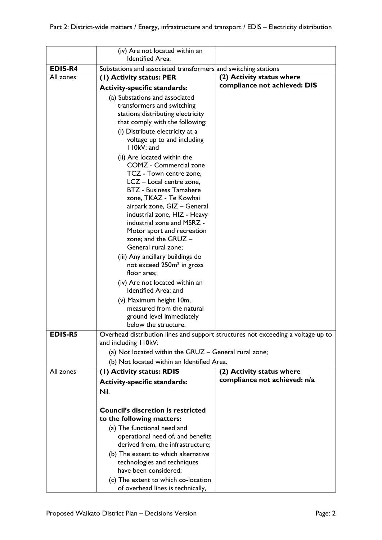|                | (iv) Are not located within an<br>Identified Area.                   |                                                                                  |
|----------------|----------------------------------------------------------------------|----------------------------------------------------------------------------------|
| <b>EDIS-R4</b> | Substations and associated transformers and switching stations       |                                                                                  |
| All zones      | (1) Activity status: PER                                             | (2) Activity status where                                                        |
|                |                                                                      | compliance not achieved: DIS                                                     |
|                | <b>Activity-specific standards:</b>                                  |                                                                                  |
|                | (a) Substations and associated                                       |                                                                                  |
|                | transformers and switching                                           |                                                                                  |
|                | stations distributing electricity<br>that comply with the following: |                                                                                  |
|                |                                                                      |                                                                                  |
|                | (i) Distribute electricity at a<br>voltage up to and including       |                                                                                  |
|                | I I0kV; and                                                          |                                                                                  |
|                | (ii) Are located within the                                          |                                                                                  |
|                | COMZ - Commercial zone                                               |                                                                                  |
|                | TCZ - Town centre zone,                                              |                                                                                  |
|                | LCZ - Local centre zone,                                             |                                                                                  |
|                | <b>BTZ</b> - Business Tamahere                                       |                                                                                  |
|                | zone, TKAZ - Te Kowhai                                               |                                                                                  |
|                | airpark zone, GIZ - General                                          |                                                                                  |
|                | industrial zone, HIZ - Heavy                                         |                                                                                  |
|                | industrial zone and MSRZ -                                           |                                                                                  |
|                | Motor sport and recreation                                           |                                                                                  |
|                | zone; and the GRUZ -                                                 |                                                                                  |
|                | General rural zone;                                                  |                                                                                  |
|                | (iii) Any ancillary buildings do                                     |                                                                                  |
|                | not exceed 250m <sup>2</sup> in gross                                |                                                                                  |
|                | floor area;                                                          |                                                                                  |
|                | (iv) Are not located within an                                       |                                                                                  |
|                | Identified Area; and                                                 |                                                                                  |
|                | (v) Maximum height 10m,                                              |                                                                                  |
|                | measured from the natural                                            |                                                                                  |
|                | ground level immediately<br>below the structure.                     |                                                                                  |
| <b>EDIS-R5</b> |                                                                      |                                                                                  |
|                | and including II0kV:                                                 | Overhead distribution lines and support structures not exceeding a voltage up to |
|                | (a) Not located within the GRUZ - General rural zone;                |                                                                                  |
|                |                                                                      |                                                                                  |
|                | (b) Not located within an Identified Area.                           |                                                                                  |
| All zones      | (1) Activity status: RDIS                                            | (2) Activity status where<br>compliance not achieved: n/a                        |
|                | <b>Activity-specific standards:</b>                                  |                                                                                  |
|                | Nil.                                                                 |                                                                                  |
|                |                                                                      |                                                                                  |
|                | <b>Council's discretion is restricted</b>                            |                                                                                  |
|                | to the following matters:                                            |                                                                                  |
|                | (a) The functional need and                                          |                                                                                  |
|                | operational need of, and benefits                                    |                                                                                  |
|                | derived from, the infrastructure;                                    |                                                                                  |
|                | (b) The extent to which alternative                                  |                                                                                  |
|                | technologies and techniques                                          |                                                                                  |
|                | have been considered;                                                |                                                                                  |
|                | (c) The extent to which co-location                                  |                                                                                  |
|                | of overhead lines is technically,                                    |                                                                                  |